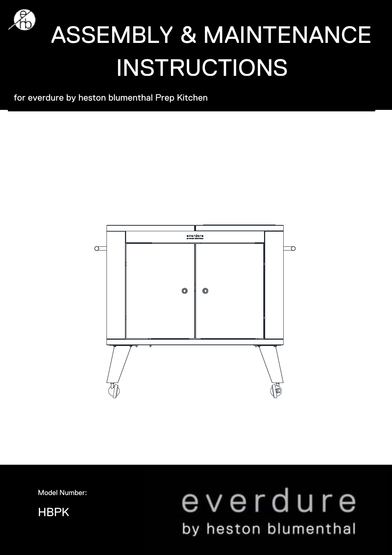

# **49 ASSEMBLY & MAINTENANCE** INSTRUCTIONS

for everdure by heston blumenthal Prep Kitchen



Model Number:

HBPK

## everdure by heston blumenthal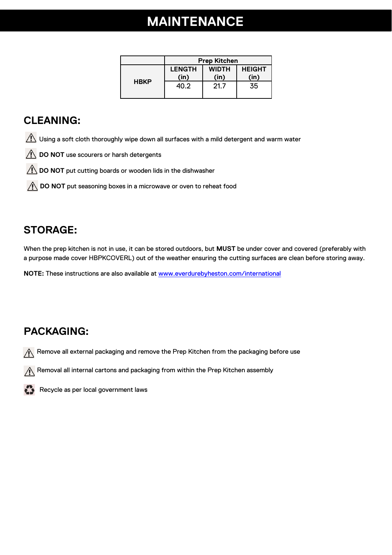## **MAINTENANCE**

|             | <b>Prep Kitchen</b>   |                      |                       |
|-------------|-----------------------|----------------------|-----------------------|
| <b>HBKP</b> | <b>LENGTH</b><br>(in) | <b>WIDTH</b><br>(in) | <b>HEIGHT</b><br>(in) |
|             | 40.2                  | 21.7                 | 35                    |

#### **CLEANING:**

- **1** Using a soft cloth thoroughly wipe down all surfaces with a mild detergent and warm water
- **DO NOT** use scourers or harsh detergents
- **DO NOT** put cutting boards or wooden lids in the dishwasher
- **DO NOT** put seasoning boxes in a microwave or oven to reheat food

#### **STORAGE:**

When the prep kitchen is not in use, it can be stored outdoors, but **MUST** be under cover and covered (preferably with a purpose made cover HBPKCOVERL) out of the weather ensuring the cutting surfaces are clean before storing away.

**NOTE:** These instructions are also available at www.everdurebyheston.com/international

#### **PACKAGING:**

 $\sqrt{\phantom{a}}$  Remove all external packaging and remove the Prep Kitchen from the packaging before use

 $\bigwedge$  Removal all internal cartons and packaging from within the Prep Kitchen assembly



Recycle as per local government laws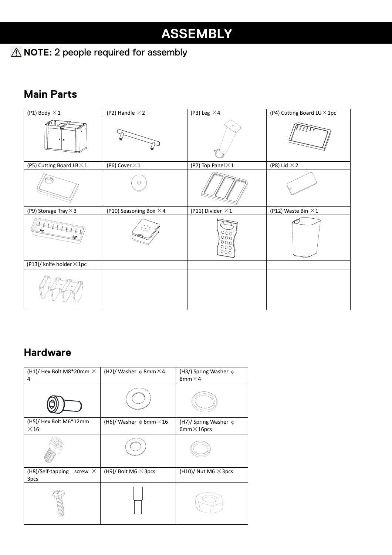### **A** NOTE: 2 people required for assembly

#### **Main Parts**

| (P1) Body $\times$ 1             | (P2) Handle $\times$ 2         | (P3) Leg $\times$ 4               | (P4) Cutting Board LU × 1pc |
|----------------------------------|--------------------------------|-----------------------------------|-----------------------------|
|                                  |                                |                                   |                             |
| (P5) Cutting Board LB $\times$ 1 | (P6) Cover $\times$ 1          | (P7) Top Panel $\times$ 1         | (P8) Lid $\times$ 2         |
|                                  | $\circ$                        |                                   |                             |
| (P9) Storage Tray $\times$ 3     | (P10) Seasoning Box $\times$ 4 | (P11) Divider $\times$ 1          | (P12) Waste Bin $\times$ 1  |
|                                  |                                | $\frac{0000}{0000}$<br>000<br>000 |                             |
| (P13)/ knife holder $\times$ 1pc |                                |                                   |                             |
|                                  |                                |                                   |                             |

#### **Hardware**

| (H1)/ Hex Bolt M8*20mm $\times$<br>4        | (H2)/ Washer $\phi$ 8mm $\times$ 4  | (H3/) Spring Washer $\phi$<br>8mm $\times$ 4     |
|---------------------------------------------|-------------------------------------|--------------------------------------------------|
|                                             |                                     |                                                  |
| (H5)/ Hex Bolt M6*12mm<br>$\times$ 16       | (H6)/ Washer $\phi$ 6mm $\times$ 16 | (H7)/ Spring Washer $\phi$<br>6mm $\times$ 16pcs |
|                                             |                                     |                                                  |
| (H8)/Self-tapping<br>screw $\times$<br>3pcs | (H9)/ Bolt M6 $\times$ 3pcs         | (H10)/ Nut M6 $\times$ 3pcs                      |
|                                             |                                     |                                                  |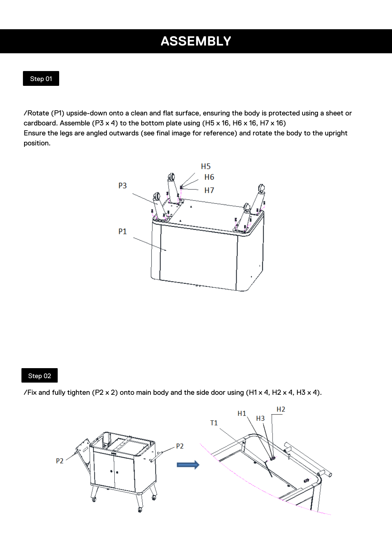/Rotate (P1) upside-down onto a clean and flat surface, ensuring the body is protected using a sheet or cardboard. Assemble (P3 x 4) to the bottom plate using (H5 x 16, H6 x 16, H7 x 16) Ensure the legs are angled outwards (see final image for reference) and rotate the body to the upright position.



#### Step 02

/Fix and fully tighten (P2 x 2) onto main body and the side door using (H1 x 4, H2 x 4, H3 x 4).

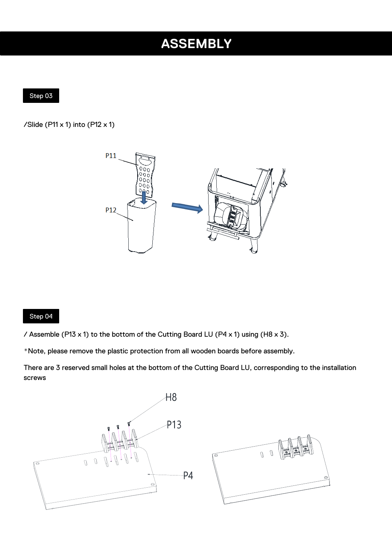#### Step 03

/Slide (P11  $\times$  1) into (P12  $\times$  1)



#### Step 04

/ Assemble (P13 x 1) to the bottom of the Cutting Board LU (P4 x 1) using (H8 x 3).

\*Note, please remove the plastic protection from all wooden boards before assembly.

There are 3 reserved small holes at the bottom of the Cutting Board LU, corresponding to the installation screws